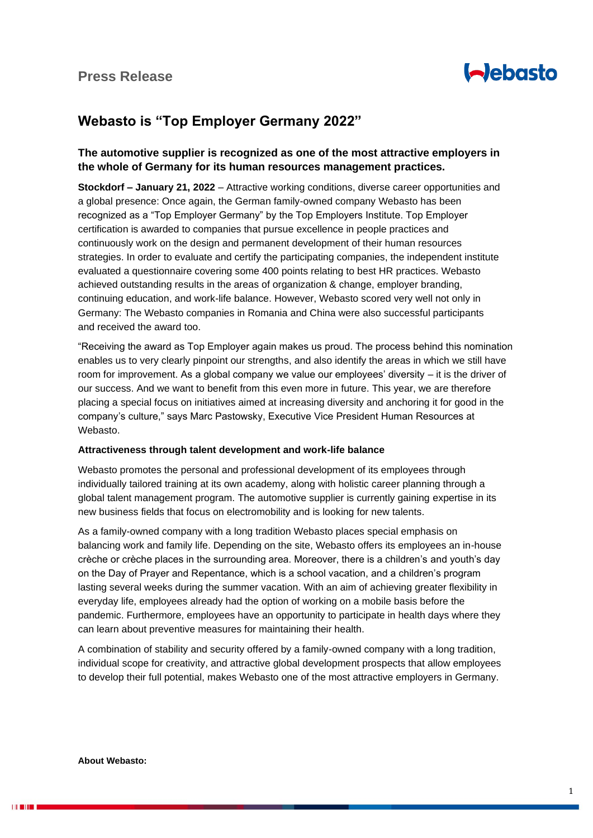

## **Webasto is "Top Employer Germany 2022"**

## **The automotive supplier is recognized as one of the most attractive employers in the whole of Germany for its human resources management practices.**

**Stockdorf – January 21, 2022** – Attractive working conditions, diverse career opportunities and a global presence: Once again, the German family-owned company Webasto has been recognized as a "Top Employer Germany" by the Top Employers Institute. Top Employer certification is awarded to companies that pursue excellence in people practices and continuously work on the design and permanent development of their human resources strategies. In order to evaluate and certify the participating companies, the independent institute evaluated a questionnaire covering some 400 points relating to best HR practices. Webasto achieved outstanding results in the areas of organization & change, employer branding, continuing education, and work-life balance. However, Webasto scored very well not only in Germany: The Webasto companies in Romania and China were also successful participants and received the award too.

"Receiving the award as Top Employer again makes us proud. The process behind this nomination enables us to very clearly pinpoint our strengths, and also identify the areas in which we still have room for improvement. As a global company we value our employees' diversity – it is the driver of our success. And we want to benefit from this even more in future. This year, we are therefore placing a special focus on initiatives aimed at increasing diversity and anchoring it for good in the company's culture," says Marc Pastowsky, Executive Vice President Human Resources at Webasto.

## **Attractiveness through talent development and work-life balance**

Webasto promotes the personal and professional development of its employees through individually tailored training at its own academy, along with holistic career planning through a global talent management program. The automotive supplier is currently gaining expertise in its new business fields that focus on electromobility and is looking for new talents.

As a family-owned company with a long tradition Webasto places special emphasis on balancing work and family life. Depending on the site, Webasto offers its employees an in-house crèche or crèche places in the surrounding area. Moreover, there is a children's and youth's day on the Day of Prayer and Repentance, which is a school vacation, and a children's program lasting several weeks during the summer vacation. With an aim of achieving greater flexibility in everyday life, employees already had the option of working on a mobile basis before the pandemic. Furthermore, employees have an opportunity to participate in health days where they can learn about preventive measures for maintaining their health.

A combination of stability and security offered by a family-owned company with a long tradition, individual scope for creativity, and attractive global development prospects that allow employees to develop their full potential, makes Webasto one of the most attractive employers in Germany.

**About Webasto:**